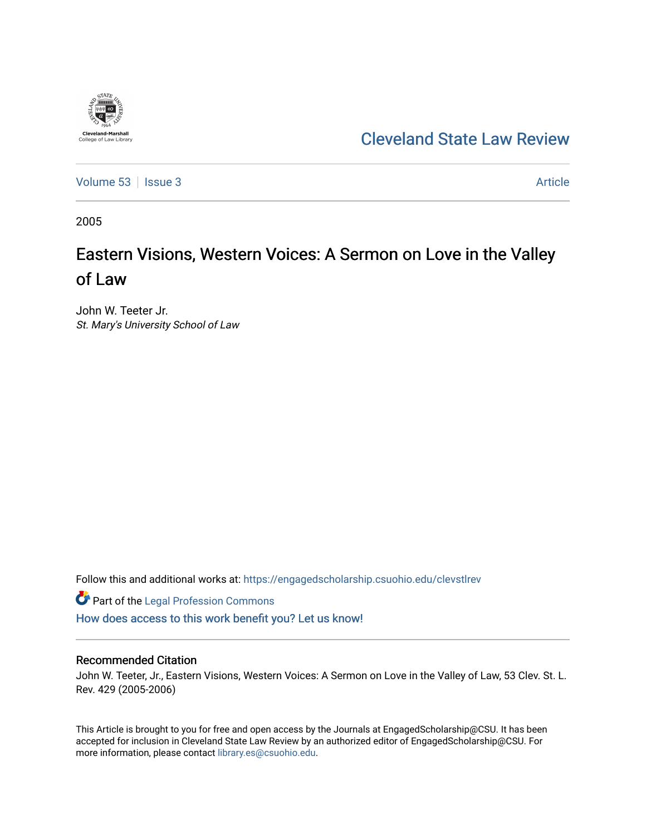# [Cleveland State Law Review](https://engagedscholarship.csuohio.edu/clevstlrev)

[Volume 53](https://engagedscholarship.csuohio.edu/clevstlrev/vol53) | [Issue 3](https://engagedscholarship.csuohio.edu/clevstlrev/vol53/iss3) Article

2005

**Cleveland-Marshall**<br>College of Law Library

# Eastern Visions, Western Voices: A Sermon on Love in the Valley of Law

John W. Teeter Jr. St. Mary's University School of Law

Follow this and additional works at: [https://engagedscholarship.csuohio.edu/clevstlrev](https://engagedscholarship.csuohio.edu/clevstlrev?utm_source=engagedscholarship.csuohio.edu%2Fclevstlrev%2Fvol53%2Fiss3%2F5&utm_medium=PDF&utm_campaign=PDFCoverPages)

**Part of the [Legal Profession Commons](http://network.bepress.com/hgg/discipline/1075?utm_source=engagedscholarship.csuohio.edu%2Fclevstlrev%2Fvol53%2Fiss3%2F5&utm_medium=PDF&utm_campaign=PDFCoverPages)** [How does access to this work benefit you? Let us know!](http://library.csuohio.edu/engaged/)

# Recommended Citation

John W. Teeter, Jr., Eastern Visions, Western Voices: A Sermon on Love in the Valley of Law, 53 Clev. St. L. Rev. 429 (2005-2006)

This Article is brought to you for free and open access by the Journals at EngagedScholarship@CSU. It has been accepted for inclusion in Cleveland State Law Review by an authorized editor of EngagedScholarship@CSU. For more information, please contact [library.es@csuohio.edu](mailto:library.es@csuohio.edu).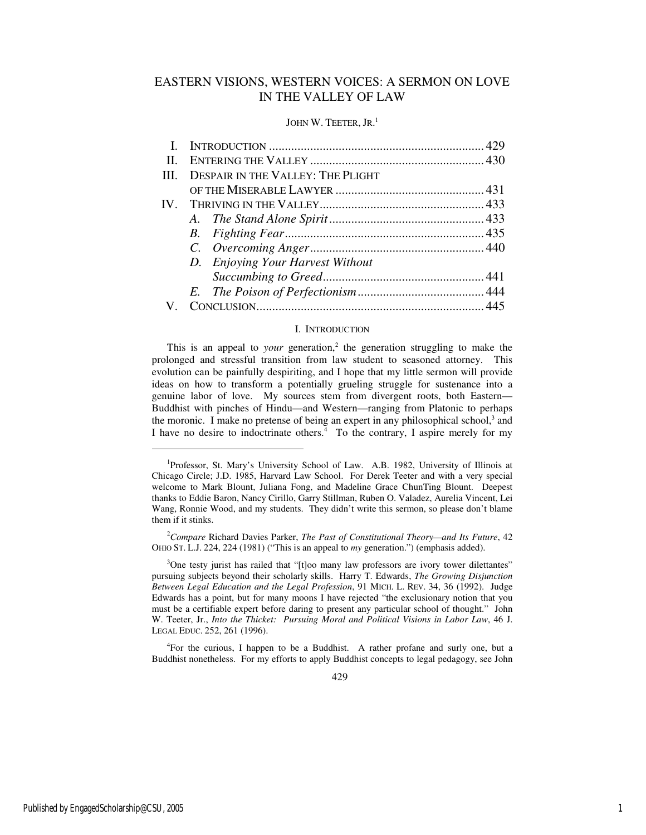# EASTERN VISIONS, WESTERN VOICES: A SERMON ON LOVE IN THE VALLEY OF LAW

### JOHN W. TEETER, JR.<sup>1</sup>

| HL. | <b>DESPAIR IN THE VALLEY: THE PLIGHT</b> |  |
|-----|------------------------------------------|--|
|     |                                          |  |
|     |                                          |  |
|     |                                          |  |
|     |                                          |  |
|     |                                          |  |
|     | D. Enjoying Your Harvest Without         |  |
|     |                                          |  |
|     |                                          |  |
|     |                                          |  |

### I. INTRODUCTION

This is an appeal to *your* generation,<sup>2</sup> the generation struggling to make the prolonged and stressful transition from law student to seasoned attorney. This evolution can be painfully despiriting, and I hope that my little sermon will provide ideas on how to transform a potentially grueling struggle for sustenance into a genuine labor of love. My sources stem from divergent roots, both Eastern— Buddhist with pinches of Hindu—and Western—ranging from Platonic to perhaps the moronic. I make no pretense of being an expert in any philosophical school,<sup>3</sup> and I have no desire to indoctrinate others.<sup>4</sup> To the contrary, I aspire merely for my

<sup>2</sup>*Compare* Richard Davies Parker, *The Past of Constitutional Theory—and Its Future*, 42 OHIO ST. L.J. 224, 224 (1981) ("This is an appeal to *my* generation.") (emphasis added).

<sup>3</sup>One testy jurist has railed that "[t]oo many law professors are ivory tower dilettantes" pursuing subjects beyond their scholarly skills. Harry T. Edwards, *The Growing Disjunction Between Legal Education and the Legal Profession*, 91 MICH. L. REV. 34, 36 (1992). Judge Edwards has a point, but for many moons I have rejected "the exclusionary notion that you must be a certifiable expert before daring to present any particular school of thought." John W. Teeter, Jr., *Into the Thicket: Pursuing Moral and Political Visions in Labor Law*, 46 J. LEGAL EDUC. 252, 261 (1996).

4 For the curious, I happen to be a Buddhist. A rather profane and surly one, but a Buddhist nonetheless. For my efforts to apply Buddhist concepts to legal pedagogy, see John

l

<sup>&</sup>lt;sup>1</sup>Professor, St. Mary's University School of Law. A.B. 1982, University of Illinois at Chicago Circle; J.D. 1985, Harvard Law School. For Derek Teeter and with a very special welcome to Mark Blount, Juliana Fong, and Madeline Grace ChunTing Blount. Deepest thanks to Eddie Baron, Nancy Cirillo, Garry Stillman, Ruben O. Valadez, Aurelia Vincent, Lei Wang, Ronnie Wood, and my students. They didn't write this sermon, so please don't blame them if it stinks.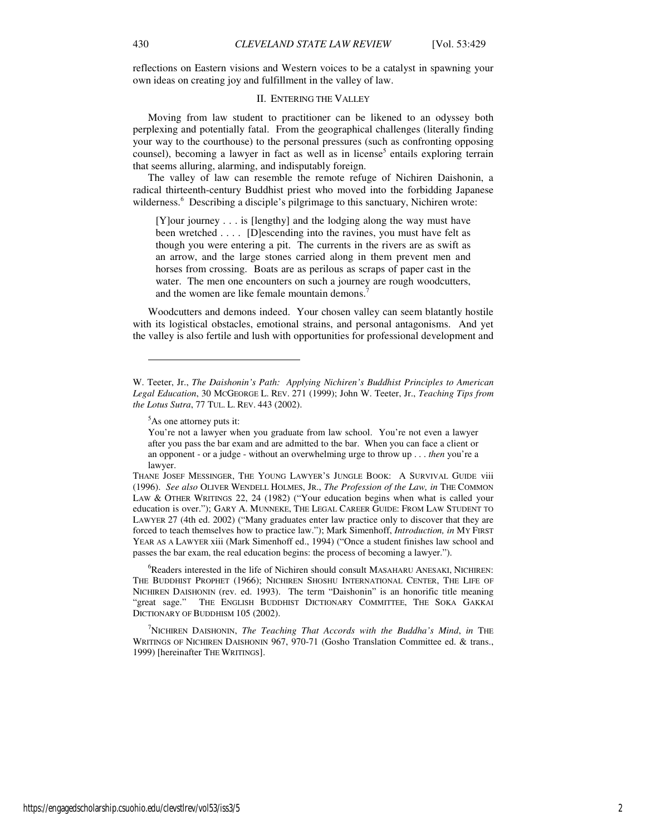reflections on Eastern visions and Western voices to be a catalyst in spawning your own ideas on creating joy and fulfillment in the valley of law.

## II. ENTERING THE VALLEY

Moving from law student to practitioner can be likened to an odyssey both perplexing and potentially fatal. From the geographical challenges (literally finding your way to the courthouse) to the personal pressures (such as confronting opposing counsel), becoming a lawyer in fact as well as in license<sup>5</sup> entails exploring terrain that seems alluring, alarming, and indisputably foreign.

The valley of law can resemble the remote refuge of Nichiren Daishonin, a radical thirteenth-century Buddhist priest who moved into the forbidding Japanese wilderness.<sup>6</sup> Describing a disciple's pilgrimage to this sanctuary, Nichiren wrote:

[Y]our journey . . . is [lengthy] and the lodging along the way must have been wretched . . . . [D]escending into the ravines, you must have felt as though you were entering a pit. The currents in the rivers are as swift as an arrow, and the large stones carried along in them prevent men and horses from crossing. Boats are as perilous as scraps of paper cast in the water. The men one encounters on such a journey are rough woodcutters, and the women are like female mountain demons.<sup>7</sup>

Woodcutters and demons indeed. Your chosen valley can seem blatantly hostile with its logistical obstacles, emotional strains, and personal antagonisms. And yet the valley is also fertile and lush with opportunities for professional development and

l

<sup>6</sup>Readers interested in the life of Nichiren should consult MASAHARU ANESAKI, NICHIREN: THE BUDDHIST PROPHET (1966); NICHIREN SHOSHU INTERNATIONAL CENTER, THE LIFE OF NICHIREN DAISHONIN (rev. ed. 1993). The term "Daishonin" is an honorific title meaning "great sage." THE ENGLISH BUDDHIST DICTIONARY COMMITTEE, THE SOKA GAKKAI DICTIONARY OF BUDDHISM 105 (2002).

<sup>7</sup>NICHIREN DAISHONIN, *The Teaching That Accords with the Buddha's Mind*, *in* THE WRITINGS OF NICHIREN DAISHONIN 967, 970-71 (Gosho Translation Committee ed. & trans., 1999) [hereinafter THE WRITINGS].

W. Teeter, Jr., *The Daishonin's Path: Applying Nichiren's Buddhist Principles to American Legal Education*, 30 MCGEORGE L. REV. 271 (1999); John W. Teeter, Jr., *Teaching Tips from the Lotus Sutra*, 77 TUL. L. REV. 443 (2002).

<sup>&</sup>lt;sup>5</sup>As one attorney puts it:

You're not a lawyer when you graduate from law school. You're not even a lawyer after you pass the bar exam and are admitted to the bar. When you can face a client or an opponent - or a judge - without an overwhelming urge to throw up . . . *then* you're a lawyer.

THANE JOSEF MESSINGER, THE YOUNG LAWYER'S JUNGLE BOOK: A SURVIVAL GUIDE viii (1996). *See also* OLIVER WENDELL HOLMES, JR., *The Profession of the Law, in* THE COMMON LAW & OTHER WRITINGS 22, 24 (1982) ("Your education begins when what is called your education is over."); GARY A. MUNNEKE, THE LEGAL CAREER GUIDE: FROM LAW STUDENT TO LAWYER 27 (4th ed. 2002) ("Many graduates enter law practice only to discover that they are forced to teach themselves how to practice law."); Mark Simenhoff, *Introduction, in* MY FIRST YEAR AS A LAWYER xiii (Mark Simenhoff ed., 1994) ("Once a student finishes law school and passes the bar exam, the real education begins: the process of becoming a lawyer.").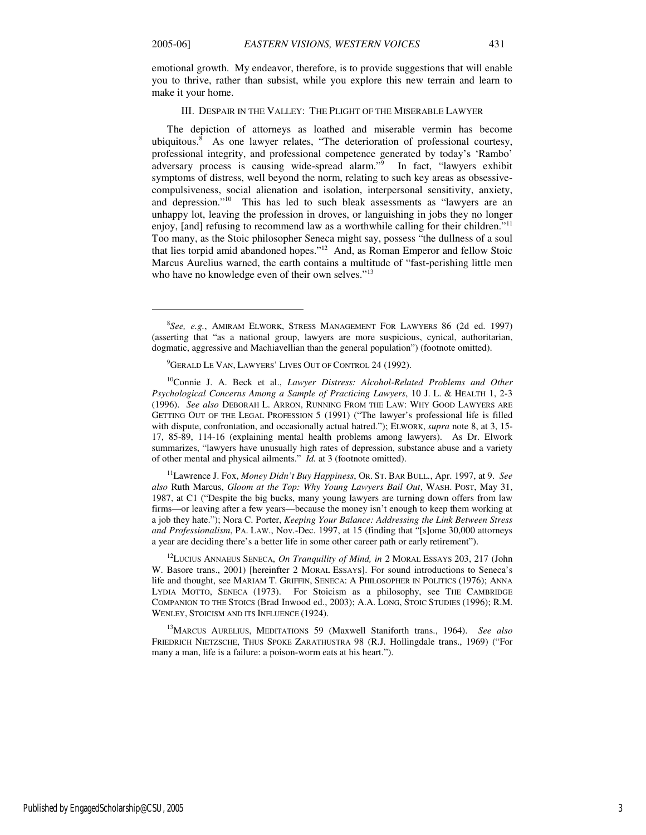emotional growth. My endeavor, therefore, is to provide suggestions that will enable you to thrive, rather than subsist, while you explore this new terrain and learn to make it your home.

#### III. DESPAIR IN THE VALLEY: THE PLIGHT OF THE MISERABLE LAWYER

The depiction of attorneys as loathed and miserable vermin has become ubiquitous.<sup>8</sup> As one lawyer relates, "The deterioration of professional courtesy, professional integrity, and professional competence generated by today's 'Rambo' adversary process is causing wide-spread alarm."<sup>9</sup> In fact, "lawyers exhibit symptoms of distress, well beyond the norm, relating to such key areas as obsessivecompulsiveness, social alienation and isolation, interpersonal sensitivity, anxiety, and depression."<sup>10</sup> This has led to such bleak assessments as "lawyers are an unhappy lot, leaving the profession in droves, or languishing in jobs they no longer enjoy, [and] refusing to recommend law as a worthwhile calling for their children."<sup>11</sup> Too many, as the Stoic philosopher Seneca might say, possess "the dullness of a soul that lies torpid amid abandoned hopes."<sup>12</sup> And, as Roman Emperor and fellow Stoic Marcus Aurelius warned, the earth contains a multitude of "fast-perishing little men who have no knowledge even of their own selves."<sup>13</sup>

 $\overline{a}$ 

<sup>11</sup>Lawrence J. Fox, *Money Didn't Buy Happiness*, OR. ST. BAR BULL., Apr. 1997, at 9. *See also* Ruth Marcus, *Gloom at the Top: Why Young Lawyers Bail Out*, WASH. POST, May 31, 1987, at C1 ("Despite the big bucks, many young lawyers are turning down offers from law firms—or leaving after a few years—because the money isn't enough to keep them working at a job they hate."); Nora C. Porter, *Keeping Your Balance: Addressing the Link Between Stress and Professionalism*, PA. LAW., Nov.-Dec. 1997, at 15 (finding that "[s]ome 30,000 attorneys a year are deciding there's a better life in some other career path or early retirement").

<sup>12</sup>LUCIUS ANNAEUS SENECA, *On Tranquility of Mind, in* 2 MORAL ESSAYS 203, 217 (John W. Basore trans., 2001) [hereinfter 2 MORAL ESSAYS]. For sound introductions to Seneca's life and thought, see MARIAM T. GRIFFIN, SENECA: A PHILOSOPHER IN POLITICS (1976); ANNA LYDIA MOTTO, SENECA (1973). For Stoicism as a philosophy, see THE CAMBRIDGE COMPANION TO THE STOICS (Brad Inwood ed., 2003); A.A. LONG, STOIC STUDIES (1996); R.M. WENLEY, STOICISM AND ITS INFLUENCE (1924).

<sup>13</sup>MARCUS AURELIUS, MEDITATIONS 59 (Maxwell Staniforth trans., 1964). *See also*  FRIEDRICH NIETZSCHE, THUS SPOKE ZARATHUSTRA 98 (R.J. Hollingdale trans., 1969) ("For many a man, life is a failure: a poison-worm eats at his heart.").

<sup>8</sup> *See, e.g.*, AMIRAM ELWORK, STRESS MANAGEMENT FOR LAWYERS 86 (2d ed. 1997) (asserting that "as a national group, lawyers are more suspicious, cynical, authoritarian, dogmatic, aggressive and Machiavellian than the general population") (footnote omitted).

<sup>&</sup>lt;sup>9</sup>GERALD LE VAN, LAWYERS' LIVES OUT OF CONTROL 24 (1992).

<sup>&</sup>lt;sup>10</sup>Connie J. A. Beck et al., *Lawyer Distress: Alcohol-Related Problems and Other Psychological Concerns Among a Sample of Practicing Lawyers*, 10 J. L. & HEALTH 1, 2-3 (1996). *See also* DEBORAH L. ARRON, RUNNING FROM THE LAW: WHY GOOD LAWYERS ARE GETTING OUT OF THE LEGAL PROFESSION 5 (1991) ("The lawyer's professional life is filled with dispute, confrontation, and occasionally actual hatred."); ELWORK, *supra* note 8, at 3, 15-17, 85-89, 114-16 (explaining mental health problems among lawyers). As Dr. Elwork summarizes, "lawyers have unusually high rates of depression, substance abuse and a variety of other mental and physical ailments." *Id.* at 3 (footnote omitted).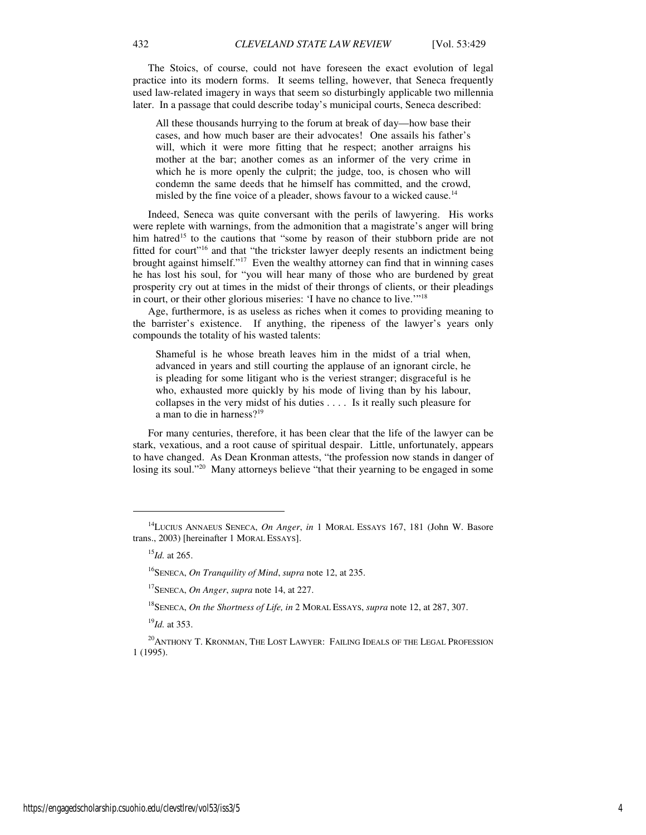The Stoics, of course, could not have foreseen the exact evolution of legal practice into its modern forms. It seems telling, however, that Seneca frequently used law-related imagery in ways that seem so disturbingly applicable two millennia later. In a passage that could describe today's municipal courts, Seneca described:

All these thousands hurrying to the forum at break of day—how base their cases, and how much baser are their advocates! One assails his father's will, which it were more fitting that he respect; another arraigns his mother at the bar; another comes as an informer of the very crime in which he is more openly the culprit; the judge, too, is chosen who will condemn the same deeds that he himself has committed, and the crowd, misled by the fine voice of a pleader, shows favour to a wicked cause.<sup>14</sup>

Indeed, Seneca was quite conversant with the perils of lawyering. His works were replete with warnings, from the admonition that a magistrate's anger will bring him hatred<sup>15</sup> to the cautions that "some by reason of their stubborn pride are not fitted for court"<sup>16</sup> and that "the trickster lawyer deeply resents an indictment being brought against himself."<sup>17</sup> Even the wealthy attorney can find that in winning cases he has lost his soul, for "you will hear many of those who are burdened by great prosperity cry out at times in the midst of their throngs of clients, or their pleadings in court, or their other glorious miseries: 'I have no chance to live.'"<sup>18</sup>

Age, furthermore, is as useless as riches when it comes to providing meaning to the barrister's existence. If anything, the ripeness of the lawyer's years only compounds the totality of his wasted talents:

Shameful is he whose breath leaves him in the midst of a trial when, advanced in years and still courting the applause of an ignorant circle, he is pleading for some litigant who is the veriest stranger; disgraceful is he who, exhausted more quickly by his mode of living than by his labour, collapses in the very midst of his duties . . . . Is it really such pleasure for a man to die in harness?<sup>19</sup>

For many centuries, therefore, it has been clear that the life of the lawyer can be stark, vexatious, and a root cause of spiritual despair. Little, unfortunately, appears to have changed. As Dean Kronman attests, "the profession now stands in danger of losing its soul."<sup>20</sup> Many attorneys believe "that their yearning to be engaged in some

 $\overline{a}$ 

<sup>19</sup>*Id.* at 353.

<sup>14</sup>LUCIUS ANNAEUS SENECA, *On Anger*, *in* 1 MORAL ESSAYS 167, 181 (John W. Basore trans., 2003) [hereinafter 1 MORAL ESSAYS].

<sup>15</sup>*Id.* at 265.

<sup>16</sup>SENECA, *On Tranquility of Mind*, *supra* note 12, at 235.

<sup>17</sup>SENECA, *On Anger*, *supra* note 14, at 227.

<sup>18</sup>SENECA, *On the Shortness of Life, in* 2 MORAL ESSAYS, *supra* note 12, at 287, 307.

<sup>&</sup>lt;sup>20</sup>ANTHONY T. KRONMAN, THE LOST LAWYER: FAILING IDEALS OF THE LEGAL PROFESSION 1 (1995).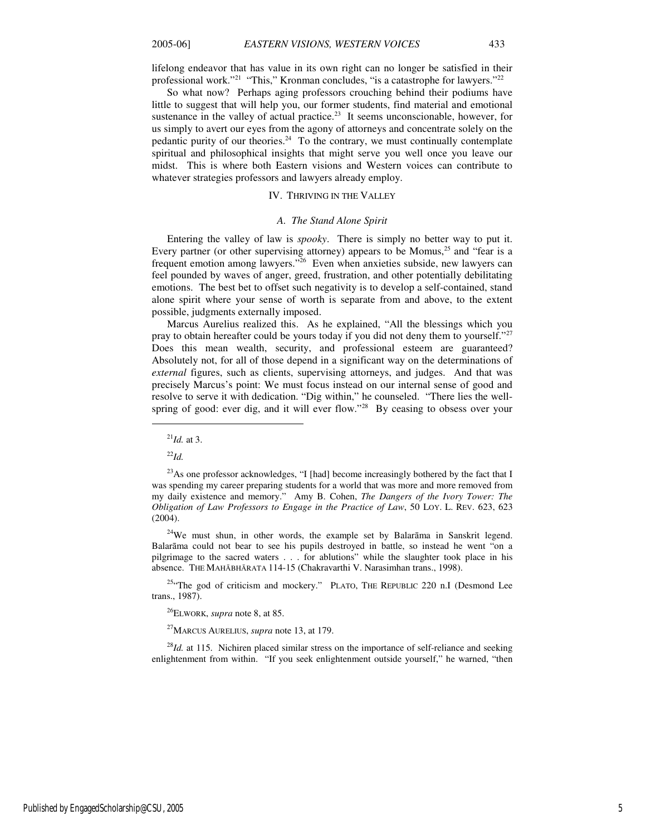lifelong endeavor that has value in its own right can no longer be satisfied in their professional work."<sup>21</sup> "This," Kronman concludes, "is a catastrophe for lawyers."<sup>22</sup>

So what now? Perhaps aging professors crouching behind their podiums have little to suggest that will help you, our former students, find material and emotional sustenance in the valley of actual practice.<sup>23</sup> It seems unconscionable, however, for us simply to avert our eyes from the agony of attorneys and concentrate solely on the pedantic purity of our theories.<sup>24</sup> To the contrary, we must continually contemplate spiritual and philosophical insights that might serve you well once you leave our midst. This is where both Eastern visions and Western voices can contribute to whatever strategies professors and lawyers already employ.

#### IV. THRIVING IN THE VALLEY

#### *A. The Stand Alone Spirit*

Entering the valley of law is *spooky*. There is simply no better way to put it. Every partner (or other supervising attorney) appears to be Momus,<sup>25</sup> and "fear is a frequent emotion among lawyers."<sup>26</sup> Even when anxieties subside, new lawyers can feel pounded by waves of anger, greed, frustration, and other potentially debilitating emotions. The best bet to offset such negativity is to develop a self-contained, stand alone spirit where your sense of worth is separate from and above, to the extent possible, judgments externally imposed.

Marcus Aurelius realized this. As he explained, "All the blessings which you pray to obtain hereafter could be yours today if you did not deny them to yourself." $^{27}$ Does this mean wealth, security, and professional esteem are guaranteed? Absolutely not, for all of those depend in a significant way on the determinations of *external* figures, such as clients, supervising attorneys, and judges. And that was precisely Marcus's point: We must focus instead on our internal sense of good and resolve to serve it with dedication. "Dig within," he counseled. "There lies the wellspring of good: ever dig, and it will ever flow."<sup>28</sup> By ceasing to obsess over your

l

 $24$ We must shun, in other words, the example set by Balarama in Sanskrit legend. Balarāma could not bear to see his pupils destroyed in battle, so instead he went "on a pilgrimage to the sacred waters . . . for ablutions" while the slaughter took place in his absence. THE MAHĀBHĀRATA 114-15 (Chakravarthi V. Narasimhan trans., 1998).

<sup>25</sup><sup>c</sup>The god of criticism and mockery." PLATO, THE REPUBLIC 220 n.I (Desmond Lee trans., 1987).

<sup>26</sup>ELWORK, *supra* note 8, at 85.

<sup>27</sup>MARCUS AURELIUS, *supra* note 13, at 179.

<sup>28</sup>*Id.* at 115. Nichiren placed similar stress on the importance of self-reliance and seeking enlightenment from within. "If you seek enlightenment outside yourself," he warned, "then

 $^{21}$ *Id.* at 3.

<sup>22</sup>*Id.*

 $^{23}$ As one professor acknowledges, "I [had] become increasingly bothered by the fact that I was spending my career preparing students for a world that was more and more removed from my daily existence and memory." Amy B. Cohen, *The Dangers of the Ivory Tower: The Obligation of Law Professors to Engage in the Practice of Law*, 50 LOY. L. REV. 623, 623 (2004).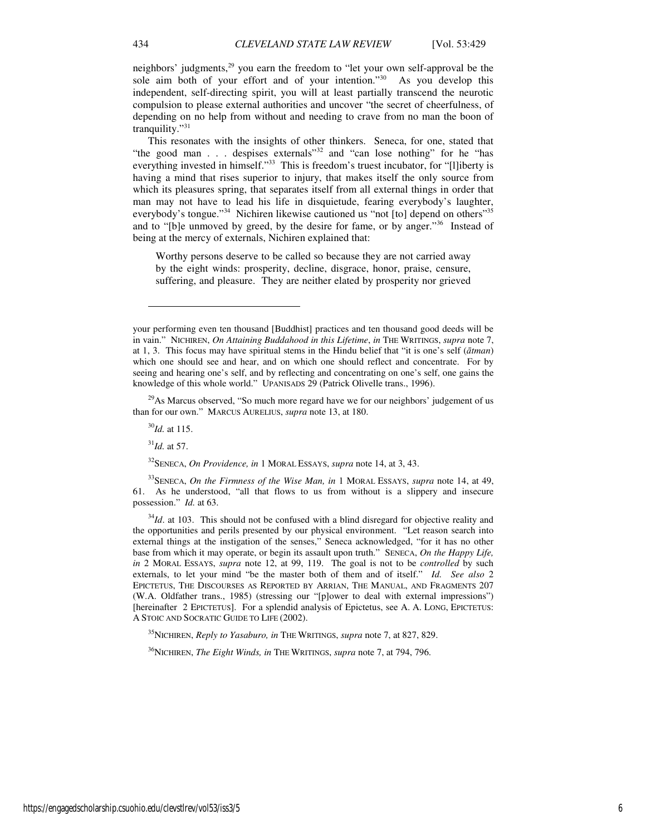neighbors' judgments,<sup>29</sup> you earn the freedom to "let your own self-approval be the sole aim both of your effort and of your intention."<sup>30</sup> As you develop this independent, self-directing spirit, you will at least partially transcend the neurotic compulsion to please external authorities and uncover "the secret of cheerfulness, of depending on no help from without and needing to crave from no man the boon of tranquility."<sup>31</sup>

This resonates with the insights of other thinkers. Seneca, for one, stated that "the good man . . . despises externals"<sup>32</sup> and "can lose nothing" for he "has everything invested in himself."<sup>33</sup> This is freedom's truest incubator, for "[l]iberty is having a mind that rises superior to injury, that makes itself the only source from which its pleasures spring, that separates itself from all external things in order that man may not have to lead his life in disquietude, fearing everybody's laughter, everybody's tongue."<sup>34</sup> Nichiren likewise cautioned us "not [to] depend on others"<sup>35</sup> and to "[b]e unmoved by greed, by the desire for fame, or by anger."<sup>36</sup> Instead of being at the mercy of externals, Nichiren explained that:

Worthy persons deserve to be called so because they are not carried away by the eight winds: prosperity, decline, disgrace, honor, praise, censure, suffering, and pleasure. They are neither elated by prosperity nor grieved

 $29$ As Marcus observed, "So much more regard have we for our neighbors' judgement of us than for our own." MARCUS AURELIUS, *supra* note 13, at 180.

<sup>30</sup>*Id.* at 115.

l

<sup>31</sup>*Id.* at 57.

<sup>32</sup>SENECA, *On Providence, in* 1 MORAL ESSAYS, *supra* note 14, at 3, 43.

<sup>33</sup>SENECA, *On the Firmness of the Wise Man, in* 1 MORAL ESSAYS, *supra* note 14, at 49, 61. As he understood, "all that flows to us from without is a slippery and insecure possession." *Id.* at 63.

<sup>34</sup>*Id*. at 103. This should not be confused with a blind disregard for objective reality and the opportunities and perils presented by our physical environment. "Let reason search into external things at the instigation of the senses," Seneca acknowledged, "for it has no other base from which it may operate, or begin its assault upon truth." SENECA, *On the Happy Life, in* 2 MORAL ESSAYS, *supra* note 12, at 99, 119. The goal is not to be *controlled* by such externals, to let your mind "be the master both of them and of itself." *Id. See also* 2 EPICTETUS, THE DISCOURSES AS REPORTED BY ARRIAN, THE MANUAL, AND FRAGMENTS 207 (W.A. Oldfather trans., 1985) (stressing our "[p]ower to deal with external impressions") [hereinafter 2 EPICTETUS]. For a splendid analysis of Epictetus, see A. A. LONG, EPICTETUS: A STOIC AND SOCRATIC GUIDE TO LIFE (2002).

<sup>35</sup>NICHIREN, *Reply to Yasaburo, in* THE WRITINGS, *supra* note 7, at 827, 829.

<sup>36</sup>NICHIREN, *The Eight Winds, in* THE WRITINGS, *supra* note 7, at 794, 796.

your performing even ten thousand [Buddhist] practices and ten thousand good deeds will be in vain." NICHIREN, *On Attaining Buddahood in this Lifetime*, *in* THE WRITINGS, *supra* note 7, at 1, 3. This focus may have spiritual stems in the Hindu belief that "it is one's self (ā*tman*) which one should see and hear, and on which one should reflect and concentrate. For by seeing and hearing one's self, and by reflecting and concentrating on one's self, one gains the knowledge of this whole world." UPANISADS 29 (Patrick Olivelle trans., 1996).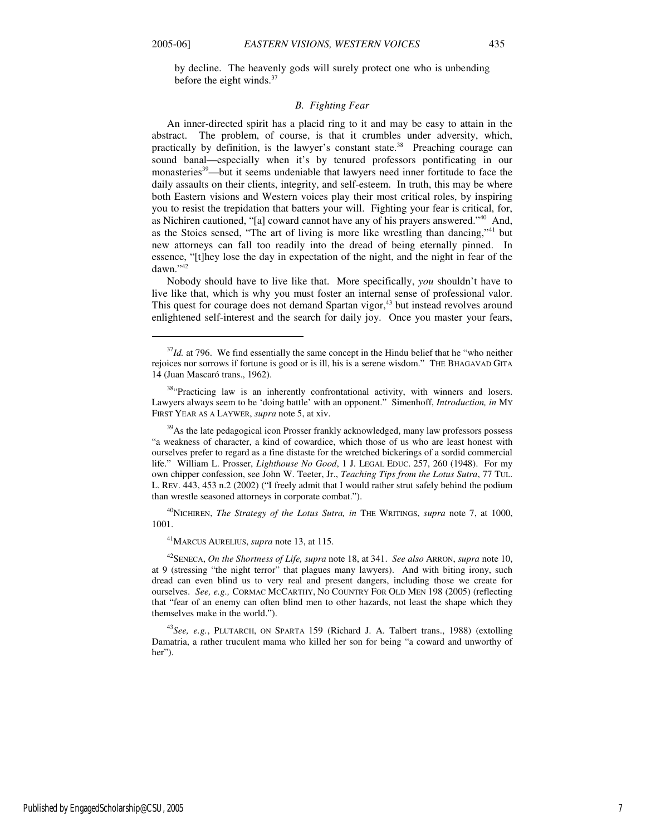$\overline{a}$ 

by decline. The heavenly gods will surely protect one who is unbending before the eight winds. $37$ 

#### *B. Fighting Fear*

An inner-directed spirit has a placid ring to it and may be easy to attain in the abstract. The problem, of course, is that it crumbles under adversity, which, practically by definition, is the lawyer's constant state.<sup>38</sup> Preaching courage can sound banal—especially when it's by tenured professors pontificating in our monasteries<sup>39</sup>—but it seems undeniable that lawyers need inner fortitude to face the daily assaults on their clients, integrity, and self-esteem. In truth, this may be where both Eastern visions and Western voices play their most critical roles, by inspiring you to resist the trepidation that batters your will. Fighting your fear is critical, for, as Nichiren cautioned, "[a] coward cannot have any of his prayers answered."<sup>40</sup> And, as the Stoics sensed, "The art of living is more like wrestling than dancing,"<sup>41</sup> but new attorneys can fall too readily into the dread of being eternally pinned. In essence, "[t]hey lose the day in expectation of the night, and the night in fear of the dawn."<sup>42</sup>

Nobody should have to live like that. More specifically, *you* shouldn't have to live like that, which is why you must foster an internal sense of professional valor. This quest for courage does not demand Spartan vigor, $43$  but instead revolves around enlightened self-interest and the search for daily joy. Once you master your fears,

<sup>40</sup>NICHIREN, *The Strategy of the Lotus Sutra, in* THE WRITINGS, *supra* note 7, at 1000, 1001.

<sup>41</sup>MARCUS AURELIUS, *supra* note 13, at 115.

<sup>&</sup>lt;sup>37</sup>*Id.* at 796. We find essentially the same concept in the Hindu belief that he "who neither rejoices nor sorrows if fortune is good or is ill, his is a serene wisdom." THE BHAGAVAD GITA 14 (Juan Mascaró trans., 1962).

<sup>&</sup>lt;sup>38</sup>"Practicing law is an inherently confrontational activity, with winners and losers. Lawyers always seem to be 'doing battle' with an opponent." Simenhoff, *Introduction, in* MY FIRST YEAR AS A LAYWER, *supra* note 5, at xiv.

<sup>&</sup>lt;sup>39</sup>As the late pedagogical icon Prosser frankly acknowledged, many law professors possess "a weakness of character, a kind of cowardice, which those of us who are least honest with ourselves prefer to regard as a fine distaste for the wretched bickerings of a sordid commercial life." William L. Prosser, *Lighthouse No Good*, 1 J. LEGAL EDUC. 257, 260 (1948). For my own chipper confession, see John W. Teeter, Jr., *Teaching Tips from the Lotus Sutra*, 77 TUL. L. REV. 443, 453 n.2 (2002) ("I freely admit that I would rather strut safely behind the podium than wrestle seasoned attorneys in corporate combat.").

<sup>42</sup>SENECA, *On the Shortness of Life, supra* note 18, at 341. *See also* ARRON, *supra* note 10, at 9 (stressing "the night terror" that plagues many lawyers). And with biting irony, such dread can even blind us to very real and present dangers, including those we create for ourselves. *See, e.g.,* CORMAC MCCARTHY, NO COUNTRY FOR OLD MEN 198 (2005) (reflecting that "fear of an enemy can often blind men to other hazards, not least the shape which they themselves make in the world.").

<sup>43</sup>*See, e.g.*, PLUTARCH, ON SPARTA 159 (Richard J. A. Talbert trans., 1988) (extolling Damatria, a rather truculent mama who killed her son for being "a coward and unworthy of her").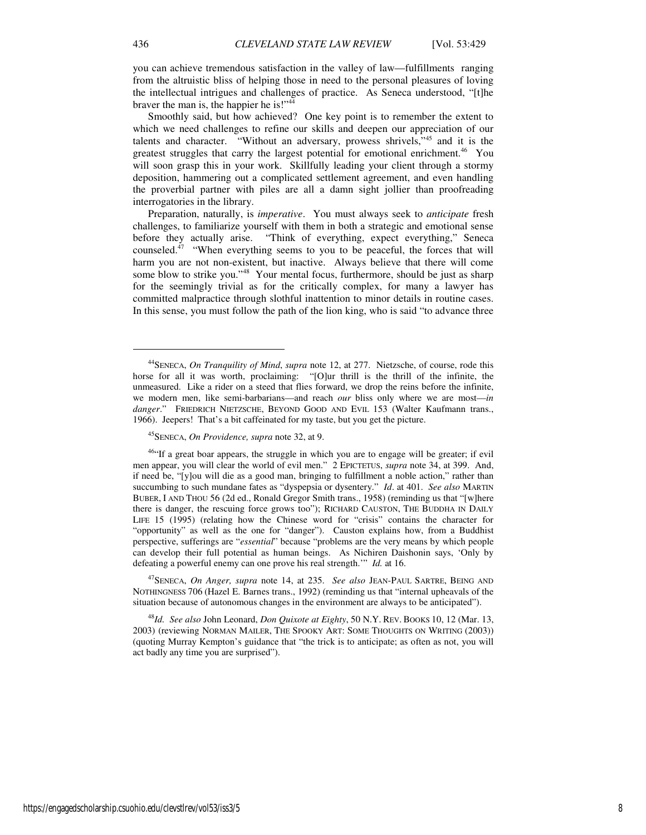you can achieve tremendous satisfaction in the valley of law—fulfillments ranging from the altruistic bliss of helping those in need to the personal pleasures of loving the intellectual intrigues and challenges of practice. As Seneca understood, "[t]he braver the man is, the happier he is!"<sup>44</sup>

Smoothly said, but how achieved? One key point is to remember the extent to which we need challenges to refine our skills and deepen our appreciation of our talents and character. "Without an adversary, prowess shrivels,"<sup>45</sup> and it is the greatest struggles that carry the largest potential for emotional enrichment.<sup>46</sup> You will soon grasp this in your work. Skillfully leading your client through a stormy deposition, hammering out a complicated settlement agreement, and even handling the proverbial partner with piles are all a damn sight jollier than proofreading interrogatories in the library.

Preparation, naturally, is *imperative*. You must always seek to *anticipate* fresh challenges, to familiarize yourself with them in both a strategic and emotional sense before they actually arise. "Think of everything, expect everything," Seneca counseled. $47$  "When everything seems to you to be peaceful, the forces that will harm you are not non-existent, but inactive. Always believe that there will come some blow to strike you."<sup>48</sup> Your mental focus, furthermore, should be just as sharp for the seemingly trivial as for the critically complex, for many a lawyer has committed malpractice through slothful inattention to minor details in routine cases. In this sense, you must follow the path of the lion king, who is said "to advance three

<sup>47</sup>SENECA, *On Anger, supra* note 14, at 235. *See also* JEAN-PAUL SARTRE, BEING AND NOTHINGNESS 706 (Hazel E. Barnes trans., 1992) (reminding us that "internal upheavals of the situation because of autonomous changes in the environment are always to be anticipated").

<sup>48</sup>*Id. See also* John Leonard, *Don Quixote at Eighty*, 50 N.Y. REV. BOOKS 10, 12 (Mar. 13, 2003) (reviewing NORMAN MAILER, THE SPOOKY ART: SOME THOUGHTS ON WRITING (2003)) (quoting Murray Kempton's guidance that "the trick is to anticipate; as often as not, you will act badly any time you are surprised").

1

<sup>44</sup>SENECA, *On Tranquility of Mind*, *supra* note 12, at 277. Nietzsche, of course, rode this horse for all it was worth, proclaiming: "[O]ur thrill is the thrill of the infinite, the unmeasured. Like a rider on a steed that flies forward, we drop the reins before the infinite, we modern men, like semi-barbarians—and reach *our* bliss only where we are most—*in danger*." FRIEDRICH NIETZSCHE, BEYOND GOOD AND EVIL 153 (Walter Kaufmann trans., 1966). Jeepers! That's a bit caffeinated for my taste, but you get the picture.

<sup>45</sup>SENECA, *On Providence, supra* note 32, at 9.

<sup>&</sup>lt;sup>46"</sup>If a great boar appears, the struggle in which you are to engage will be greater; if evil men appear, you will clear the world of evil men." 2 EPICTETUS, *supra* note 34, at 399. And, if need be, "[y]ou will die as a good man, bringing to fulfillment a noble action," rather than succumbing to such mundane fates as "dyspepsia or dysentery." *Id*. at 401. *See also* MARTIN BUBER, I AND THOU 56 (2d ed., Ronald Gregor Smith trans., 1958) (reminding us that "[w]here there is danger, the rescuing force grows too"); RICHARD CAUSTON, THE BUDDHA IN DAILY LIFE 15 (1995) (relating how the Chinese word for "crisis" contains the character for "opportunity" as well as the one for "danger"). Causton explains how, from a Buddhist perspective, sufferings are "*essential*" because "problems are the very means by which people can develop their full potential as human beings. As Nichiren Daishonin says, 'Only by defeating a powerful enemy can one prove his real strength.'" *Id.* at 16.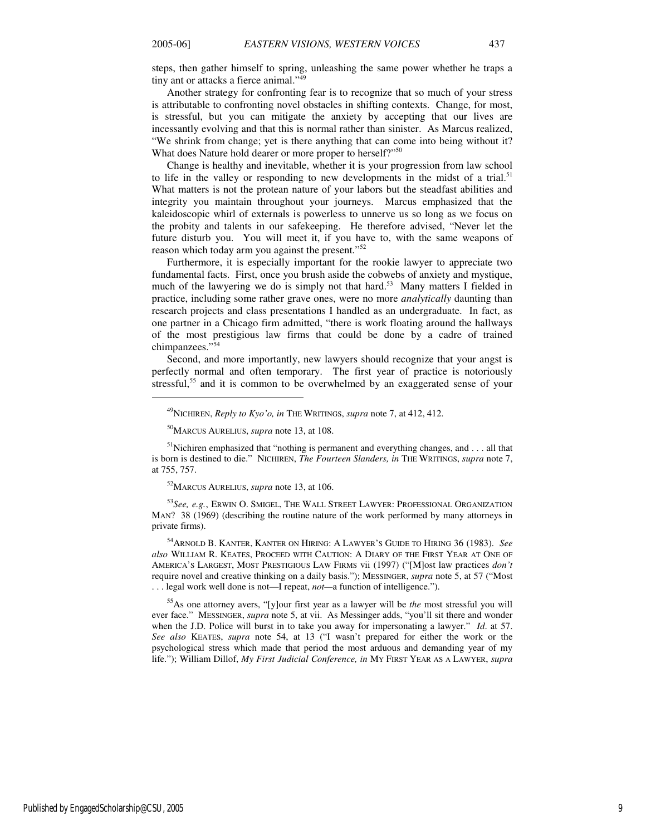$\overline{a}$ 

steps, then gather himself to spring, unleashing the same power whether he traps a tiny ant or attacks a fierce animal."<sup>49</sup>

Another strategy for confronting fear is to recognize that so much of your stress is attributable to confronting novel obstacles in shifting contexts. Change, for most, is stressful, but you can mitigate the anxiety by accepting that our lives are incessantly evolving and that this is normal rather than sinister. As Marcus realized, "We shrink from change; yet is there anything that can come into being without it? What does Nature hold dearer or more proper to herself?"<sup>50</sup>

Change is healthy and inevitable, whether it is your progression from law school to life in the valley or responding to new developments in the midst of a trial.<sup>51</sup> What matters is not the protean nature of your labors but the steadfast abilities and integrity you maintain throughout your journeys. Marcus emphasized that the kaleidoscopic whirl of externals is powerless to unnerve us so long as we focus on the probity and talents in our safekeeping. He therefore advised, "Never let the future disturb you. You will meet it, if you have to, with the same weapons of reason which today arm you against the present."<sup>52</sup>

Furthermore, it is especially important for the rookie lawyer to appreciate two fundamental facts. First, once you brush aside the cobwebs of anxiety and mystique, much of the lawyering we do is simply not that hard.<sup>53</sup> Many matters I fielded in practice, including some rather grave ones, were no more *analytically* daunting than research projects and class presentations I handled as an undergraduate. In fact, as one partner in a Chicago firm admitted, "there is work floating around the hallways of the most prestigious law firms that could be done by a cadre of trained chimpanzees."<sup>54</sup>

Second, and more importantly, new lawyers should recognize that your angst is perfectly normal and often temporary. The first year of practice is notoriously stressful,<sup>55</sup> and it is common to be overwhelmed by an exaggerated sense of your

<sup>50</sup>MARCUS AURELIUS, *supra* note 13, at 108.

<sup>52</sup>MARCUS AURELIUS, *supra* note 13, at 106.

<sup>53</sup>*See, e.g.*, ERWIN O. SMIGEL, THE WALL STREET LAWYER: PROFESSIONAL ORGANIZATION MAN? 38 (1969) (describing the routine nature of the work performed by many attorneys in private firms).

<sup>54</sup>ARNOLD B. KANTER, KANTER ON HIRING: A LAWYER'S GUIDE TO HIRING 36 (1983). *See also* WILLIAM R. KEATES, PROCEED WITH CAUTION: A DIARY OF THE FIRST YEAR AT ONE OF AMERICA'S LARGEST, MOST PRESTIGIOUS LAW FIRMS vii (1997) ("[M]ost law practices *don't* require novel and creative thinking on a daily basis."); MESSINGER, *supra* note 5, at 57 ("Most . . . legal work well done is not—I repeat, *not—*a function of intelligence.").

<sup>55</sup>As one attorney avers, "[y]our first year as a lawyer will be *the* most stressful you will ever face." MESSINGER, *supra* note 5, at vii. As Messinger adds, "you'll sit there and wonder when the J.D. Police will burst in to take you away for impersonating a lawyer." *Id*. at 57. *See also* KEATES, *supra* note 54, at 13 ("I wasn't prepared for either the work or the psychological stress which made that period the most arduous and demanding year of my life."); William Dillof, *My First Judicial Conference, in* MY FIRST YEAR AS A LAWYER, *supra*

<sup>49</sup>NICHIREN, *Reply to Kyo'o, in* THE WRITINGS, *supra* note 7, at 412, 412.

 $<sup>51</sup>Nichiren emphasized that "nothing is permanent and everything changes, and ... all that$ </sup> is born is destined to die." NICHIREN, *The Fourteen Slanders, in* THE WRITINGS, *supra* note 7, at 755, 757.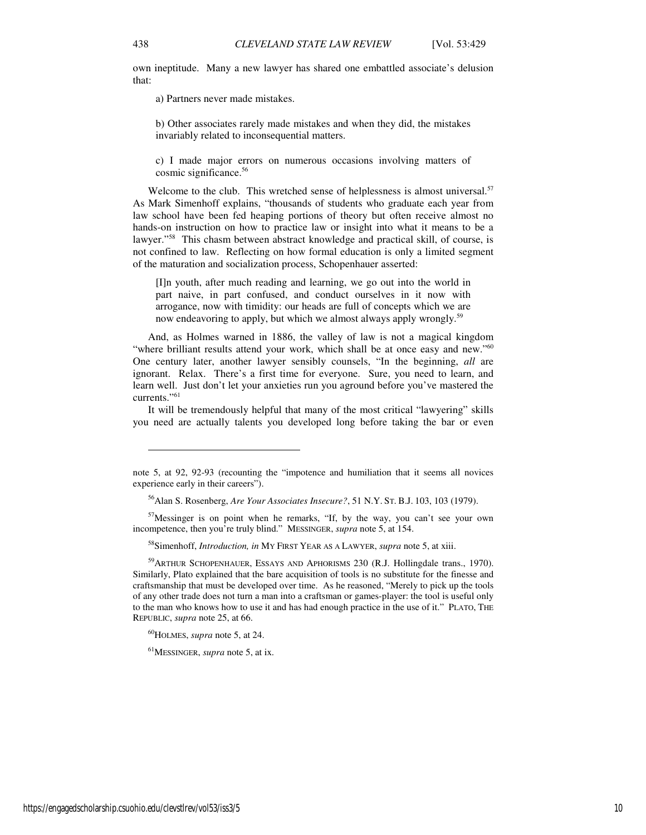own ineptitude. Many a new lawyer has shared one embattled associate's delusion that:

a) Partners never made mistakes.

b) Other associates rarely made mistakes and when they did, the mistakes invariably related to inconsequential matters.

c) I made major errors on numerous occasions involving matters of cosmic significance.<sup>56</sup>

Welcome to the club. This wretched sense of helplessness is almost universal.<sup>57</sup> As Mark Simenhoff explains, "thousands of students who graduate each year from law school have been fed heaping portions of theory but often receive almost no hands-on instruction on how to practice law or insight into what it means to be a lawyer."<sup>58</sup> This chasm between abstract knowledge and practical skill, of course, is not confined to law. Reflecting on how formal education is only a limited segment of the maturation and socialization process, Schopenhauer asserted:

[I]n youth, after much reading and learning, we go out into the world in part naive, in part confused, and conduct ourselves in it now with arrogance, now with timidity: our heads are full of concepts which we are now endeavoring to apply, but which we almost always apply wrongly.<sup>59</sup>

And, as Holmes warned in 1886, the valley of law is not a magical kingdom "where brilliant results attend your work, which shall be at once easy and new."60 One century later, another lawyer sensibly counsels, "In the beginning, *all* are ignorant. Relax. There's a first time for everyone. Sure, you need to learn, and learn well. Just don't let your anxieties run you aground before you've mastered the currents."<sup>61</sup>

It will be tremendously helpful that many of the most critical "lawyering" skills you need are actually talents you developed long before taking the bar or even

 $57$ Messinger is on point when he remarks, "If, by the way, you can't see your own incompetence, then you're truly blind." MESSINGER, *supra* note 5, at 154.

<sup>58</sup>Simenhoff, *Introduction, in* MY FIRST YEAR AS A LAWYER, *supra* note 5, at xiii.

<sup>59</sup>ARTHUR SCHOPENHAUER, ESSAYS AND APHORISMS 230 (R.J. Hollingdale trans., 1970). Similarly, Plato explained that the bare acquisition of tools is no substitute for the finesse and craftsmanship that must be developed over time. As he reasoned, "Merely to pick up the tools of any other trade does not turn a man into a craftsman or games-player: the tool is useful only to the man who knows how to use it and has had enough practice in the use of it." PLATO, THE REPUBLIC, *supra* note 25, at 66.

<sup>60</sup>HOLMES, *supra* note 5, at 24.

<sup>61</sup>MESSINGER, *supra* note 5, at ix.

l

note 5, at 92, 92-93 (recounting the "impotence and humiliation that it seems all novices experience early in their careers").

<sup>56</sup>Alan S. Rosenberg, *Are Your Associates Insecure?*, 51 N.Y. ST. B.J. 103, 103 (1979).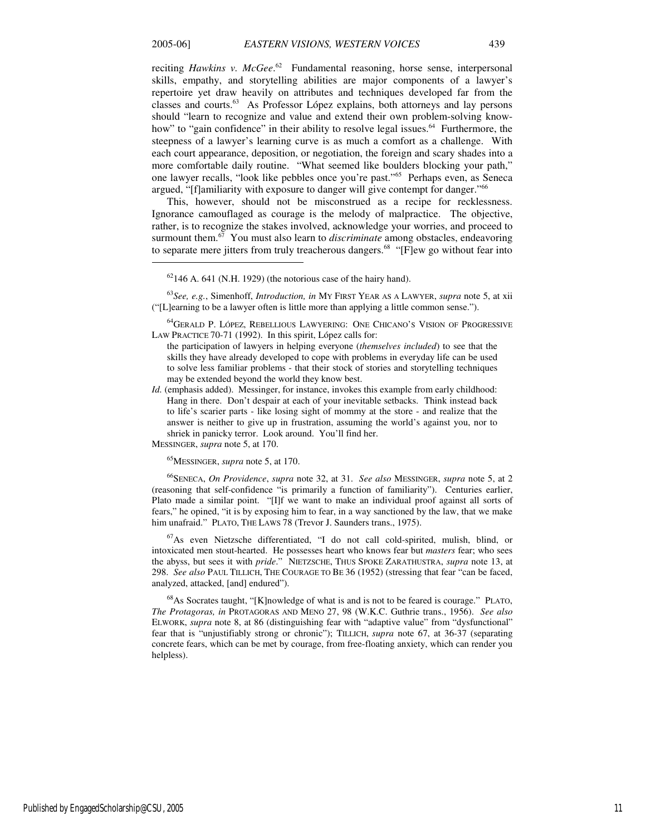$\overline{a}$ 

reciting *Hawkins v. McGee*.<sup>62</sup> Fundamental reasoning, horse sense, interpersonal skills, empathy, and storytelling abilities are major components of a lawyer's repertoire yet draw heavily on attributes and techniques developed far from the classes and courts.<sup>63</sup> As Professor López explains, both attorneys and lay persons should "learn to recognize and value and extend their own problem-solving knowhow" to "gain confidence" in their ability to resolve legal issues.<sup>64</sup> Furthermore, the steepness of a lawyer's learning curve is as much a comfort as a challenge. With each court appearance, deposition, or negotiation, the foreign and scary shades into a more comfortable daily routine. "What seemed like boulders blocking your path," one lawyer recalls, "look like pebbles once you're past."<sup>65</sup> Perhaps even, as Seneca argued, "[f]amiliarity with exposure to danger will give contempt for danger."<sup>66</sup>

This, however, should not be misconstrued as a recipe for recklessness. Ignorance camouflaged as courage is the melody of malpractice. The objective, rather, is to recognize the stakes involved, acknowledge your worries, and proceed to surmount them.<sup>67</sup> You must also learn to *discriminate* among obstacles, endeavoring to separate mere jitters from truly treacherous dangers.<sup>68</sup> "[F]ew go without fear into

<sup>63</sup>*See, e.g.*, Simenhoff, *Introduction, in* MY FIRST YEAR AS A LAWYER, *supra* note 5, at xii ("[L]earning to be a lawyer often is little more than applying a little common sense.").

<sup>64</sup>GERALD P. LÓPEZ, REBELLIOUS LAWYERING: ONE CHICANO'S VISION OF PROGRESSIVE LAW PRACTICE 70-71 (1992). In this spirit, López calls for:

MESSINGER, *supra* note 5, at 170.

<sup>65</sup>MESSINGER, *supra* note 5, at 170.

<sup>66</sup>SENECA, *On Providence*, *supra* note 32, at 31. *See also* MESSINGER, *supra* note 5, at 2 (reasoning that self-confidence "is primarily a function of familiarity"). Centuries earlier, Plato made a similar point. "[I]f we want to make an individual proof against all sorts of fears," he opined, "it is by exposing him to fear, in a way sanctioned by the law, that we make him unafraid." PLATO, THE LAWS 78 (Trevor J. Saunders trans., 1975).

<sup>67</sup>As even Nietzsche differentiated, "I do not call cold-spirited, mulish, blind, or intoxicated men stout-hearted. He possesses heart who knows fear but *masters* fear; who sees the abyss, but sees it with *pride*." NIETZSCHE, THUS SPOKE ZARATHUSTRA, *supra* note 13, at 298. *See also* PAUL TILLICH, THE COURAGE TO BE 36 (1952) (stressing that fear "can be faced, analyzed, attacked, [and] endured").

<sup>68</sup>As Socrates taught, "[K]nowledge of what is and is not to be feared is courage." PLATO, *The Protagoras, in* PROTAGORAS AND MENO 27, 98 (W.K.C. Guthrie trans., 1956). *See also*  ELWORK, *supra* note 8, at 86 (distinguishing fear with "adaptive value" from "dysfunctional" fear that is "unjustifiably strong or chronic"); TILLICH, *supra* note 67, at 36-37 (separating concrete fears, which can be met by courage, from free-floating anxiety, which can render you helpless).

 $62146$  A. 641 (N.H. 1929) (the notorious case of the hairy hand).

the participation of lawyers in helping everyone (*themselves included*) to see that the skills they have already developed to cope with problems in everyday life can be used to solve less familiar problems - that their stock of stories and storytelling techniques may be extended beyond the world they know best.

*Id.* (emphasis added). Messinger, for instance, invokes this example from early childhood: Hang in there. Don't despair at each of your inevitable setbacks. Think instead back to life's scarier parts - like losing sight of mommy at the store - and realize that the answer is neither to give up in frustration, assuming the world's against you, nor to shriek in panicky terror. Look around. You'll find her.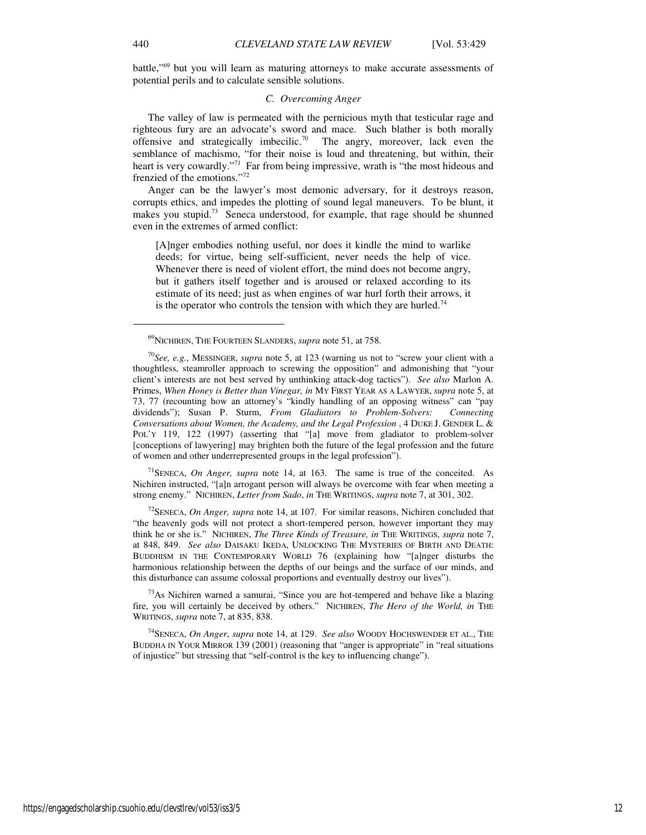1

battle,"<sup>69</sup> but you will learn as maturing attorneys to make accurate assessments of potential perils and to calculate sensible solutions.

# *C. Overcoming Anger*

The valley of law is permeated with the pernicious myth that testicular rage and righteous fury are an advocate's sword and mace. Such blather is both morally offensive and strategically imbecilic.<sup>70</sup> The angry, moreover, lack even the semblance of machismo, "for their noise is loud and threatening, but within, their heart is very cowardly."<sup>71</sup> Far from being impressive, wrath is "the most hideous and frenzied of the emotions."<sup>72</sup>

Anger can be the lawyer's most demonic adversary, for it destroys reason, corrupts ethics, and impedes the plotting of sound legal maneuvers. To be blunt, it makes you stupid.<sup>73</sup> Seneca understood, for example, that rage should be shunned even in the extremes of armed conflict:

[A]nger embodies nothing useful, nor does it kindle the mind to warlike deeds; for virtue, being self-sufficient, never needs the help of vice. Whenever there is need of violent effort, the mind does not become angry, but it gathers itself together and is aroused or relaxed according to its estimate of its need; just as when engines of war hurl forth their arrows, it is the operator who controls the tension with which they are hurled.<sup>74</sup>

<sup>71</sup>SENECA, *On Anger, supra* note 14, at 163. The same is true of the conceited. As Nichiren instructed, "[a]n arrogant person will always be overcome with fear when meeting a strong enemy." NICHIREN, *Letter from Sado*, *in* THE WRITINGS, *supra* note 7, at 301, 302.

<sup>72</sup>SENECA, *On Anger, supra* note 14, at 107. For similar reasons, Nichiren concluded that "the heavenly gods will not protect a short-tempered person, however important they may think he or she is." NICHIREN, *The Three Kinds of Treasure, in* THE WRITINGS, *supra* note 7, at 848, 849. *See also* DAISAKU IKEDA, UNLOCKING THE MYSTERIES OF BIRTH AND DEATH: BUDDHISM IN THE CONTEMPORARY WORLD 76 (explaining how "[a]nger disturbs the harmonious relationship between the depths of our beings and the surface of our minds, and this disturbance can assume colossal proportions and eventually destroy our lives").

 $73$ As Nichiren warned a samurai, "Since you are hot-tempered and behave like a blazing fire, you will certainly be deceived by others." NICHIREN, *The Hero of the World, in* THE WRITINGS, *supra* note 7, at 835, 838.

<sup>74</sup>SENECA, *On Anger*, *supra* note 14, at 129. *See also* WOODY HOCHSWENDER ET AL., THE BUDDHA IN YOUR MIRROR 139 (2001) (reasoning that "anger is appropriate" in "real situations of injustice" but stressing that "self-control is the key to influencing change").

<sup>69</sup>NICHIREN, THE FOURTEEN SLANDERS, *supra* note 51, at 758.

<sup>70</sup>*See, e.g.*, MESSINGER, *supra* note 5, at 123 (warning us not to "screw your client with a thoughtless, steamroller approach to screwing the opposition" and admonishing that "your client's interests are not best served by unthinking attack-dog tactics"). *See also* Marlon A. Primes, *When Honey is Better than Vinegar, in* MY FIRST YEAR AS A LAWYER, *supra* note 5, at 73, 77 (recounting how an attorney's "kindly handling of an opposing witness" can "pay dividends"); Susan P. Sturm, *From Gladiators to Problem-Solvers: Connecting Conversations about Women, the Academy, and the Legal Profession* , 4 DUKE J. GENDER L. & POL'Y 119, 122 (1997) (asserting that "[a] move from gladiator to problem-solver [conceptions of lawyering] may brighten both the future of the legal profession and the future of women and other underrepresented groups in the legal profession").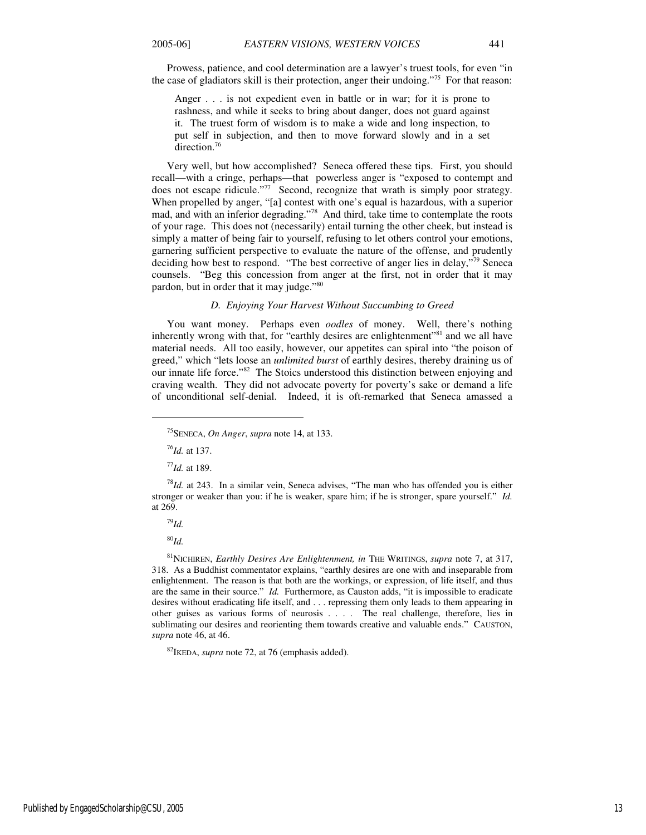Prowess, patience, and cool determination are a lawyer's truest tools, for even "in the case of gladiators skill is their protection, anger their undoing."<sup>75</sup> For that reason:

Anger . . . is not expedient even in battle or in war; for it is prone to rashness, and while it seeks to bring about danger, does not guard against it. The truest form of wisdom is to make a wide and long inspection, to put self in subjection, and then to move forward slowly and in a set direction.<sup>76</sup>

Very well, but how accomplished? Seneca offered these tips. First, you should recall—with a cringe, perhaps—that powerless anger is "exposed to contempt and does not escape ridicule."<sup>77</sup> Second, recognize that wrath is simply poor strategy. When propelled by anger, "[a] contest with one's equal is hazardous, with a superior mad, and with an inferior degrading."<sup>78</sup> And third, take time to contemplate the roots of your rage. This does not (necessarily) entail turning the other cheek, but instead is simply a matter of being fair to yourself, refusing to let others control your emotions, garnering sufficient perspective to evaluate the nature of the offense, and prudently deciding how best to respond. "The best corrective of anger lies in delay,"<sup>79</sup> Seneca counsels. "Beg this concession from anger at the first, not in order that it may pardon, but in order that it may judge."<sup>80</sup>

## *D. Enjoying Your Harvest Without Succumbing to Greed*

You want money. Perhaps even *oodles* of money. Well, there's nothing inherently wrong with that, for "earthly desires are enlightenment"<sup>81</sup> and we all have material needs. All too easily, however, our appetites can spiral into "the poison of greed," which "lets loose an *unlimited burst* of earthly desires, thereby draining us of our innate life force."<sup>82</sup> The Stoics understood this distinction between enjoying and craving wealth. They did not advocate poverty for poverty's sake or demand a life of unconditional self-denial. Indeed, it is oft-remarked that Seneca amassed a

l

<sup>79</sup>*Id.*

<sup>80</sup>*Id.*

<sup>81</sup>NICHIREN, *Earthly Desires Are Enlightenment, in* THE WRITINGS, *supra* note 7, at 317, 318. As a Buddhist commentator explains, "earthly desires are one with and inseparable from enlightenment. The reason is that both are the workings, or expression, of life itself, and thus are the same in their source." *Id.* Furthermore, as Causton adds, "it is impossible to eradicate desires without eradicating life itself, and . . . repressing them only leads to them appearing in other guises as various forms of neurosis . . . . The real challenge, therefore, lies in sublimating our desires and reorienting them towards creative and valuable ends." CAUSTON, *supra* note 46, at 46.

<sup>82</sup>IKEDA, *supra* note 72, at 76 (emphasis added).

<sup>75</sup>SENECA, *On Anger*, *supra* note 14, at 133.

<sup>76</sup>*Id.* at 137.

<sup>77</sup>*Id.* at 189.

<sup>78</sup>*Id.* at 243. In a similar vein, Seneca advises, "The man who has offended you is either stronger or weaker than you: if he is weaker, spare him; if he is stronger, spare yourself." *Id.* at 269.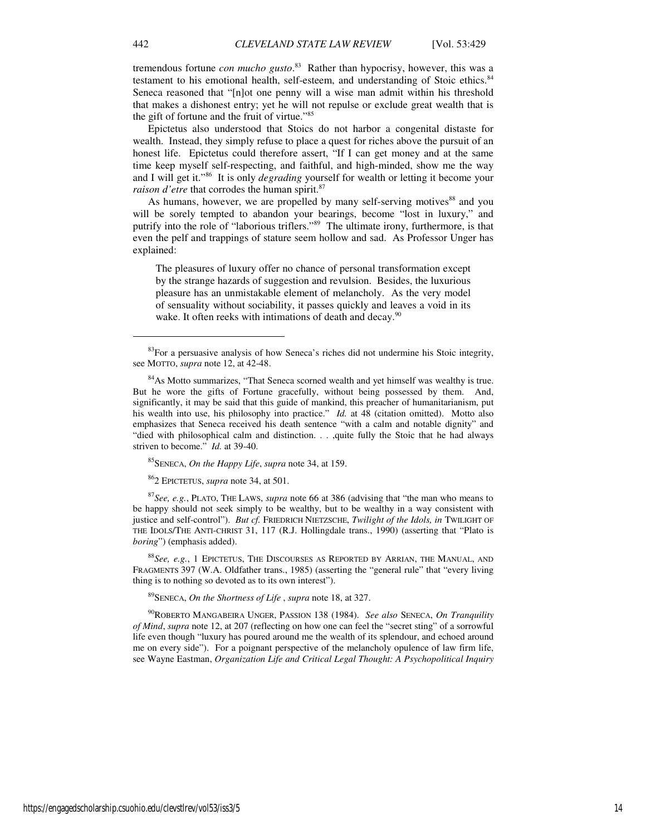tremendous fortune *con mucho gusto*. <sup>83</sup> Rather than hypocrisy, however, this was a testament to his emotional health, self-esteem, and understanding of Stoic ethics.<sup>84</sup> Seneca reasoned that "[n]ot one penny will a wise man admit within his threshold that makes a dishonest entry; yet he will not repulse or exclude great wealth that is the gift of fortune and the fruit of virtue."<sup>85</sup>

Epictetus also understood that Stoics do not harbor a congenital distaste for wealth. Instead, they simply refuse to place a quest for riches above the pursuit of an honest life. Epictetus could therefore assert, "If I can get money and at the same time keep myself self-respecting, and faithful, and high-minded, show me the way and I will get it."<sup>86</sup> It is only *degrading* yourself for wealth or letting it become your raison d'etre that corrodes the human spirit.<sup>87</sup>

As humans, however, we are propelled by many self-serving motives<sup>88</sup> and you will be sorely tempted to abandon your bearings, become "lost in luxury," and putrify into the role of "laborious triflers."<sup>89</sup> The ultimate irony, furthermore, is that even the pelf and trappings of stature seem hollow and sad. As Professor Unger has explained:

The pleasures of luxury offer no chance of personal transformation except by the strange hazards of suggestion and revulsion. Besides, the luxurious pleasure has an unmistakable element of melancholy. As the very model of sensuality without sociability, it passes quickly and leaves a void in its wake. It often reeks with intimations of death and decay.<sup>90</sup>

<sup>85</sup>SENECA, *On the Happy Life*, *supra* note 34, at 159.

<sup>86</sup>2 EPICTETUS, *supra* note 34, at 501.

<sup>87</sup>*See, e.g.*, PLATO, THE LAWS, *supra* note 66 at 386 (advising that "the man who means to be happy should not seek simply to be wealthy, but to be wealthy in a way consistent with justice and self-control"). *But cf.* FRIEDRICH NIETZSCHE, *Twilight of the Idols, in* TWILIGHT OF THE IDOLS/THE ANTI-CHRIST 31, 117 (R.J. Hollingdale trans., 1990) (asserting that "Plato is *boring*") (emphasis added).

<sup>88</sup>*See, e.g.*, 1 EPICTETUS, THE DISCOURSES AS REPORTED BY ARRIAN, THE MANUAL, AND FRAGMENTS 397 (W.A. Oldfather trans., 1985) (asserting the "general rule" that "every living thing is to nothing so devoted as to its own interest").

<sup>89</sup>SENECA, *On the Shortness of Life* , *supra* note 18, at 327.

<sup>90</sup>ROBERTO MANGABEIRA UNGER, PASSION 138 (1984). *See also* SENECA, *On Tranquility of Mind*, *supra* note 12, at 207 (reflecting on how one can feel the "secret sting" of a sorrowful life even though "luxury has poured around me the wealth of its splendour, and echoed around me on every side"). For a poignant perspective of the melancholy opulence of law firm life, see Wayne Eastman, *Organization Life and Critical Legal Thought: A Psychopolitical Inquiry* 

1

<sup>&</sup>lt;sup>83</sup>For a persuasive analysis of how Seneca's riches did not undermine his Stoic integrity, see MOTTO, *supra* note 12, at 42-48.

<sup>&</sup>lt;sup>84</sup>As Motto summarizes, "That Seneca scorned wealth and yet himself was wealthy is true. But he wore the gifts of Fortune gracefully, without being possessed by them. And, significantly, it may be said that this guide of mankind, this preacher of humanitarianism, put his wealth into use, his philosophy into practice." *Id.* at 48 (citation omitted). Motto also emphasizes that Seneca received his death sentence "with a calm and notable dignity" and "died with philosophical calm and distinction. . . ,quite fully the Stoic that he had always striven to become." *Id.* at 39-40.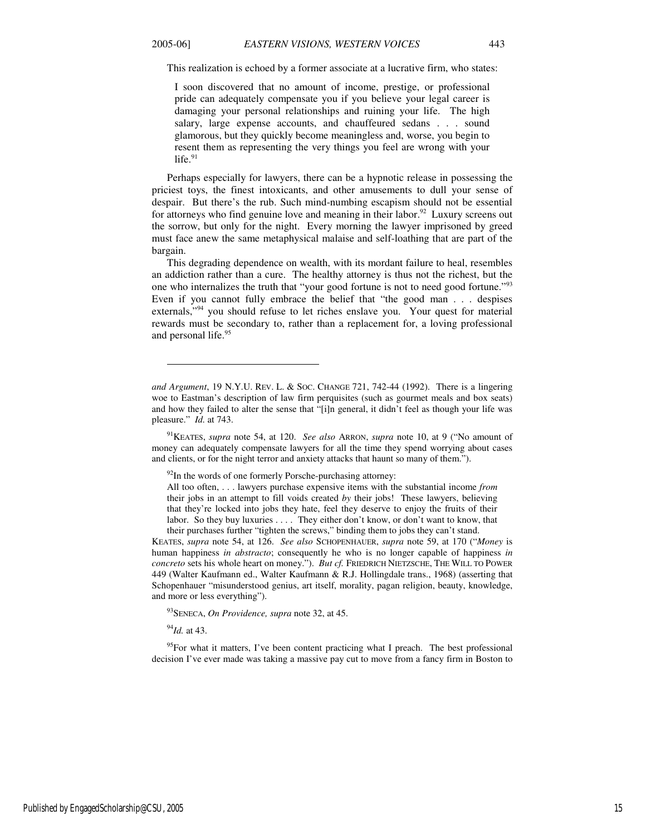l

This realization is echoed by a former associate at a lucrative firm, who states:

I soon discovered that no amount of income, prestige, or professional pride can adequately compensate you if you believe your legal career is damaging your personal relationships and ruining your life. The high salary, large expense accounts, and chauffeured sedans . . . sound glamorous, but they quickly become meaningless and, worse, you begin to resent them as representing the very things you feel are wrong with your life. $91$ 

Perhaps especially for lawyers, there can be a hypnotic release in possessing the priciest toys, the finest intoxicants, and other amusements to dull your sense of despair. But there's the rub. Such mind-numbing escapism should not be essential for attorneys who find genuine love and meaning in their labor.<sup>92</sup> Luxury screens out the sorrow, but only for the night. Every morning the lawyer imprisoned by greed must face anew the same metaphysical malaise and self-loathing that are part of the bargain.

This degrading dependence on wealth, with its mordant failure to heal, resembles an addiction rather than a cure. The healthy attorney is thus not the richest, but the one who internalizes the truth that "your good fortune is not to need good fortune."<sup>93</sup> Even if you cannot fully embrace the belief that "the good man . . . despises externals,"<sup>94</sup> you should refuse to let riches enslave you. Your quest for material rewards must be secondary to, rather than a replacement for, a loving professional and personal life.<sup>95</sup>

<sup>93</sup>SENECA, *On Providence, supra* note 32, at 45.

<sup>94</sup>*Id.* at 43.

<sup>95</sup>For what it matters, I've been content practicing what I preach. The best professional decision I've ever made was taking a massive pay cut to move from a fancy firm in Boston to

*and Argument*, 19 N.Y.U. REV. L. & SOC. CHANGE 721, 742-44 (1992). There is a lingering woe to Eastman's description of law firm perquisites (such as gourmet meals and box seats) and how they failed to alter the sense that "[i]n general, it didn't feel as though your life was pleasure." *Id.* at 743.

<sup>91</sup>KEATES, *supra* note 54, at 120. *See also* ARRON, *supra* note 10, at 9 ("No amount of money can adequately compensate lawyers for all the time they spend worrying about cases and clients, or for the night terror and anxiety attacks that haunt so many of them.").

 $92$ In the words of one formerly Porsche-purchasing attorney:

All too often, . . . lawyers purchase expensive items with the substantial income *from* their jobs in an attempt to fill voids created *by* their jobs! These lawyers, believing that they're locked into jobs they hate, feel they deserve to enjoy the fruits of their labor. So they buy luxuries . . . . They either don't know, or don't want to know, that their purchases further "tighten the screws," binding them to jobs they can't stand.

KEATES, *supra* note 54, at 126. *See also* SCHOPENHAUER, *supra* note 59, at 170 ("*Money* is human happiness *in abstracto*; consequently he who is no longer capable of happiness *in concreto* sets his whole heart on money."). *But cf.* FRIEDRICH NIETZSCHE, THE WILL TO POWER 449 (Walter Kaufmann ed., Walter Kaufmann & R.J. Hollingdale trans., 1968) (asserting that Schopenhauer "misunderstood genius, art itself, morality, pagan religion, beauty, knowledge, and more or less everything").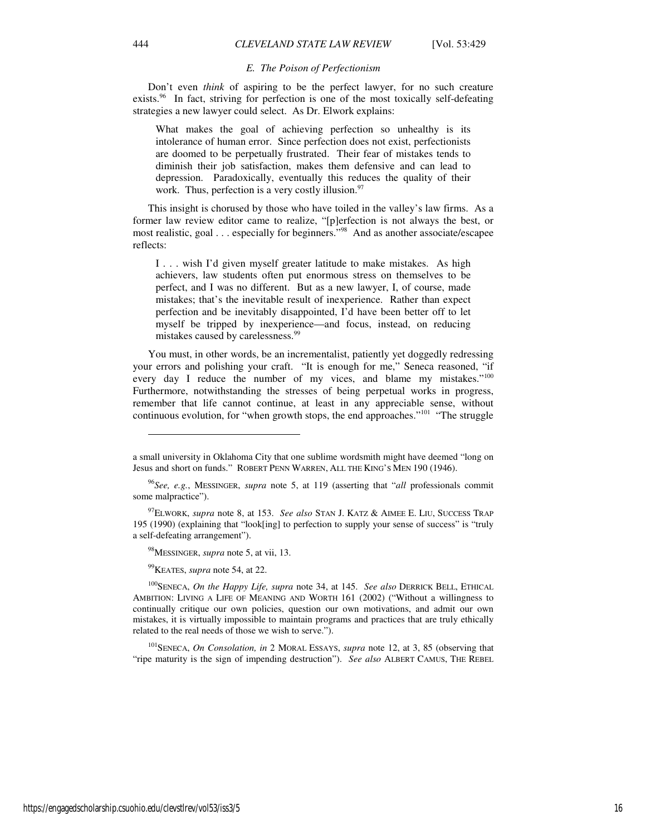#### *E. The Poison of Perfectionism*

Don't even *think* of aspiring to be the perfect lawyer, for no such creature exists.<sup>96</sup> In fact, striving for perfection is one of the most toxically self-defeating strategies a new lawyer could select. As Dr. Elwork explains:

What makes the goal of achieving perfection so unhealthy is its intolerance of human error. Since perfection does not exist, perfectionists are doomed to be perpetually frustrated. Their fear of mistakes tends to diminish their job satisfaction, makes them defensive and can lead to depression. Paradoxically, eventually this reduces the quality of their work. Thus, perfection is a very costly illusion. $97$ 

This insight is chorused by those who have toiled in the valley's law firms. As a former law review editor came to realize, "[p]erfection is not always the best, or most realistic, goal . . . especially for beginners."<sup>98</sup> And as another associate/escapee reflects:

I . . . wish I'd given myself greater latitude to make mistakes. As high achievers, law students often put enormous stress on themselves to be perfect, and I was no different. But as a new lawyer, I, of course, made mistakes; that's the inevitable result of inexperience. Rather than expect perfection and be inevitably disappointed, I'd have been better off to let myself be tripped by inexperience—and focus, instead, on reducing mistakes caused by carelessness.<sup>99</sup>

You must, in other words, be an incrementalist, patiently yet doggedly redressing your errors and polishing your craft. "It is enough for me," Seneca reasoned, "if every day I reduce the number of my vices, and blame my mistakes."<sup>100</sup> Furthermore, notwithstanding the stresses of being perpetual works in progress, remember that life cannot continue, at least in any appreciable sense, without continuous evolution, for "when growth stops, the end approaches."<sup>101</sup> "The struggle

<sup>97</sup>ELWORK, *supra* note 8, at 153. *See also* STAN J. KATZ & AIMEE E. LIU, SUCCESS TRAP 195 (1990) (explaining that "look[ing] to perfection to supply your sense of success" is "truly a self-defeating arrangement").

<sup>98</sup>MESSINGER, *supra* note 5, at vii, 13.

<sup>99</sup>KEATES, *supra* note 54, at 22.

l

<sup>100</sup>SENECA, *On the Happy Life, supra* note 34, at 145. *See also* DERRICK BELL, ETHICAL AMBITION: LIVING A LIFE OF MEANING AND WORTH 161 (2002) ("Without a willingness to continually critique our own policies, question our own motivations, and admit our own mistakes, it is virtually impossible to maintain programs and practices that are truly ethically related to the real needs of those we wish to serve.").

<sup>101</sup>SENECA, *On Consolation, in* 2 MORAL ESSAYS, *supra* note 12, at 3, 85 (observing that "ripe maturity is the sign of impending destruction"). *See also* ALBERT CAMUS, THE REBEL

a small university in Oklahoma City that one sublime wordsmith might have deemed "long on Jesus and short on funds." ROBERT PENN WARREN, ALL THE KING'S MEN 190 (1946).

<sup>96</sup>*See, e.g.*, MESSINGER, *supra* note 5, at 119 (asserting that "*all* professionals commit some malpractice").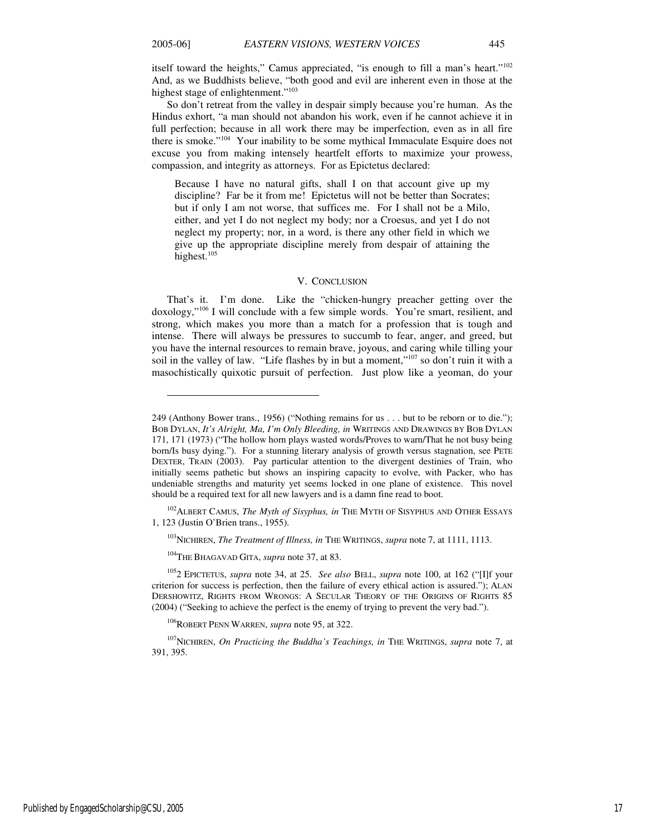itself toward the heights," Camus appreciated, "is enough to fill a man's heart."<sup>102</sup> And, as we Buddhists believe, "both good and evil are inherent even in those at the highest stage of enlightenment."<sup>103</sup>

So don't retreat from the valley in despair simply because you're human. As the Hindus exhort, "a man should not abandon his work, even if he cannot achieve it in full perfection; because in all work there may be imperfection, even as in all fire there is smoke."<sup>104</sup> Your inability to be some mythical Immaculate Esquire does not excuse you from making intensely heartfelt efforts to maximize your prowess, compassion, and integrity as attorneys. For as Epictetus declared:

Because I have no natural gifts, shall I on that account give up my discipline? Far be it from me! Epictetus will not be better than Socrates; but if only I am not worse, that suffices me. For I shall not be a Milo, either, and yet I do not neglect my body; nor a Croesus, and yet I do not neglect my property; nor, in a word, is there any other field in which we give up the appropriate discipline merely from despair of attaining the highest.<sup>105</sup>

#### V. CONCLUSION

That's it. I'm done. Like the "chicken-hungry preacher getting over the doxology,"<sup>106</sup> I will conclude with a few simple words. You're smart, resilient, and strong, which makes you more than a match for a profession that is tough and intense. There will always be pressures to succumb to fear, anger, and greed, but you have the internal resources to remain brave, joyous, and caring while tilling your soil in the valley of law. "Life flashes by in but a moment,"<sup>107</sup> so don't ruin it with a masochistically quixotic pursuit of perfection. Just plow like a yeoman, do your

<sup>103</sup>NICHIREN, *The Treatment of Illness, in* THE WRITINGS, *supra* note 7, at 1111, 1113.

<sup>104</sup>THE BHAGAVAD GITA, *supra* note 37, at 83.

l

<sup>105</sup>2 EPICTETUS, *supra* note 34, at 25. *See also* BELL, *supra* note 100, at 162 ("[I]f your criterion for success is perfection, then the failure of every ethical action is assured."); ALAN DERSHOWITZ, RIGHTS FROM WRONGS: A SECULAR THEORY OF THE ORIGINS OF RIGHTS 85 (2004) ("Seeking to achieve the perfect is the enemy of trying to prevent the very bad.").

<sup>106</sup>ROBERT PENN WARREN, *supra* note 95, at 322.

<sup>107</sup>NICHIREN, *On Practicing the Buddha's Teachings, in* THE WRITINGS, *supra* note 7, at 391, 395.

<sup>249 (</sup>Anthony Bower trans., 1956) ("Nothing remains for us . . . but to be reborn or to die."); BOB DYLAN, *It's Alright, Ma, I'm Only Bleeding, in* WRITINGS AND DRAWINGS BY BOB DYLAN 171, 171 (1973) ("The hollow horn plays wasted words/Proves to warn/That he not busy being born/Is busy dying."). For a stunning literary analysis of growth versus stagnation, see PETE DEXTER, TRAIN (2003). Pay particular attention to the divergent destinies of Train, who initially seems pathetic but shows an inspiring capacity to evolve, with Packer, who has undeniable strengths and maturity yet seems locked in one plane of existence. This novel should be a required text for all new lawyers and is a damn fine read to boot.

<sup>102</sup>ALBERT CAMUS, *The Myth of Sisyphus, in* THE MYTH OF SISYPHUS AND OTHER ESSAYS 1, 123 (Justin O'Brien trans., 1955).